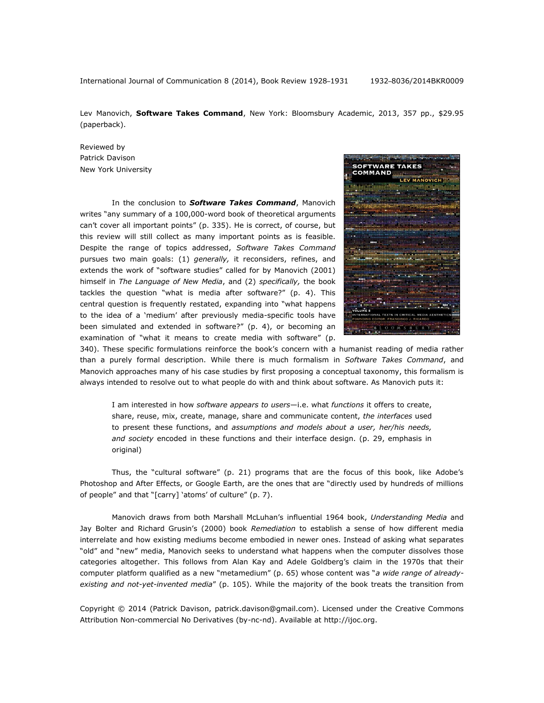International Journal of Communication 8 (2014), Book Review 1928–1931 1932–8036/2014BKR0009

Lev Manovich, **Software Takes Command**, New York: Bloomsbury Academic, 2013, 357 pp., \$29.95 (paperback).

Reviewed by Patrick Davison New York University

In the conclusion to *Software Takes Command*, Manovich writes "any summary of a 100,000-word book of theoretical arguments can't cover all important points" (p. 335). He is correct, of course, but this review will still collect as many important points as is feasible. Despite the range of topics addressed, *Software Takes Command* pursues two main goals: (1) *generally,* it reconsiders, refines, and extends the work of "software studies" called for by Manovich (2001) himself in *The Language of New Media*, and (2) *specifically,* the book tackles the question "what is media after software?" (p. 4). This central question is frequently restated, expanding into "what happens to the idea of a 'medium' after previously media-specific tools have been simulated and extended in software?" (p. 4), or becoming an examination of "what it means to create media with software" (p.



340). These specific formulations reinforce the book's concern with a humanist reading of media rather than a purely formal description. While there is much formalism in *Software Takes Command*, and Manovich approaches many of his case studies by first proposing a conceptual taxonomy, this formalism is always intended to resolve out to what people do with and think about software. As Manovich puts it:

I am interested in how *software appears to users*—i.e. what *functions* it offers to create, share, reuse, mix, create, manage, share and communicate content, *the interfaces* used to present these functions, and *assumptions and models about a user, her/his needs, and society* encoded in these functions and their interface design. (p. 29, emphasis in original)

Thus, the "cultural software" (p. 21) programs that are the focus of this book, like Adobe's Photoshop and After Effects, or Google Earth, are the ones that are "directly used by hundreds of millions of people" and that "[carry] 'atoms' of culture" (p. 7).

Manovich draws from both Marshall McLuhan's influential 1964 book, *Understanding Media* and Jay Bolter and Richard Grusin's (2000) book *Remediation* to establish a sense of how different media interrelate and how existing mediums become embodied in newer ones. Instead of asking what separates "old" and "new" media, Manovich seeks to understand what happens when the computer dissolves those categories altogether. This follows from Alan Kay and Adele Goldberg's claim in the 1970s that their computer platform qualified as a new "metamedium" (p. 65) whose content was "*a wide range of alreadyexisting and not-yet-invented media*" (p. 105). While the majority of the book treats the transition from

Copyright © 2014 (Patrick Davison, patrick.davison@gmail.com). Licensed under the Creative Commons Attribution Non-commercial No Derivatives (by-nc-nd). Available at [http://ijoc.org.](http://ijoc.org/)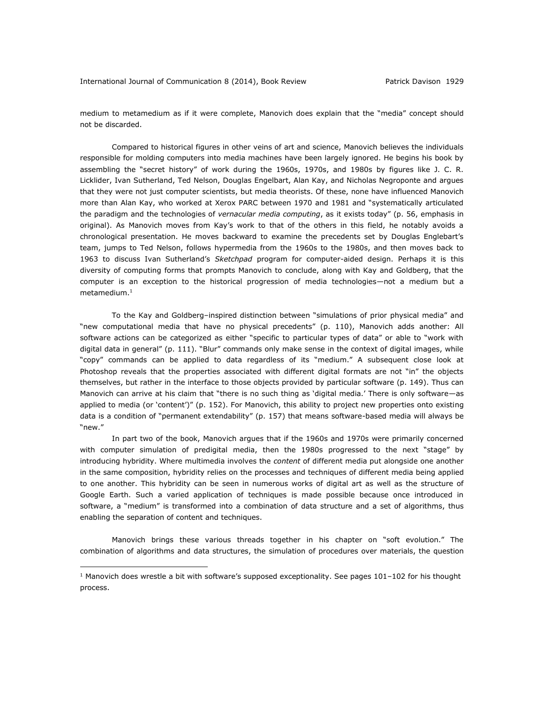medium to metamedium as if it were complete, Manovich does explain that the "media" concept should not be discarded.

Compared to historical figures in other veins of art and science, Manovich believes the individuals responsible for molding computers into media machines have been largely ignored. He begins his book by assembling the "secret history" of work during the 1960s, 1970s, and 1980s by figures like J. C. R. Licklider, Ivan Sutherland, Ted Nelson, Douglas Engelbart, Alan Kay, and Nicholas Negroponte and argues that they were not just computer scientists, but media theorists. Of these, none have influenced Manovich more than Alan Kay, who worked at Xerox PARC between 1970 and 1981 and "systematically articulated the paradigm and the technologies of *vernacular media computing*, as it exists today" (p. 56, emphasis in original). As Manovich moves from Kay's work to that of the others in this field, he notably avoids a chronological presentation. He moves backward to examine the precedents set by Douglas Englebart's team, jumps to Ted Nelson, follows hypermedia from the 1960s to the 1980s, and then moves back to 1963 to discuss Ivan Sutherland's *Sketchpad* program for computer-aided design. Perhaps it is this diversity of computing forms that prompts Manovich to conclude, along with Kay and Goldberg, that the computer is an exception to the historical progression of media technologies—not a medium but a metamedium.<sup>1</sup>

To the Kay and Goldberg–inspired distinction between "simulations of prior physical media" and "new computational media that have no physical precedents" (p. 110), Manovich adds another: All software actions can be categorized as either "specific to particular types of data" or able to "work with digital data in general" (p. 111). "Blur" commands only make sense in the context of digital images, while "copy" commands can be applied to data regardless of its "medium." A subsequent close look at Photoshop reveals that the properties associated with different digital formats are not "in" the objects themselves, but rather in the interface to those objects provided by particular software (p. 149). Thus can Manovich can arrive at his claim that "there is no such thing as 'digital media.' There is only software—as applied to media (or 'content')" (p. 152). For Manovich, this ability to project new properties onto existing data is a condition of "permanent extendability" (p. 157) that means software-based media will always be "new."

In part two of the book, Manovich argues that if the 1960s and 1970s were primarily concerned with computer simulation of predigital media, then the 1980s progressed to the next "stage" by introducing hybridity. Where multimedia involves the *content* of different media put alongside one another in the same composition, hybridity relies on the processes and techniques of different media being applied to one another. This hybridity can be seen in numerous works of digital art as well as the structure of Google Earth. Such a varied application of techniques is made possible because once introduced in software, a "medium" is transformed into a combination of data structure and a set of algorithms, thus enabling the separation of content and techniques.

Manovich brings these various threads together in his chapter on "soft evolution." The combination of algorithms and data structures, the simulation of procedures over materials, the question

 $\overline{a}$ 

<sup>&</sup>lt;sup>1</sup> Manovich does wrestle a bit with software's supposed exceptionality. See pages  $101-102$  for his thought process.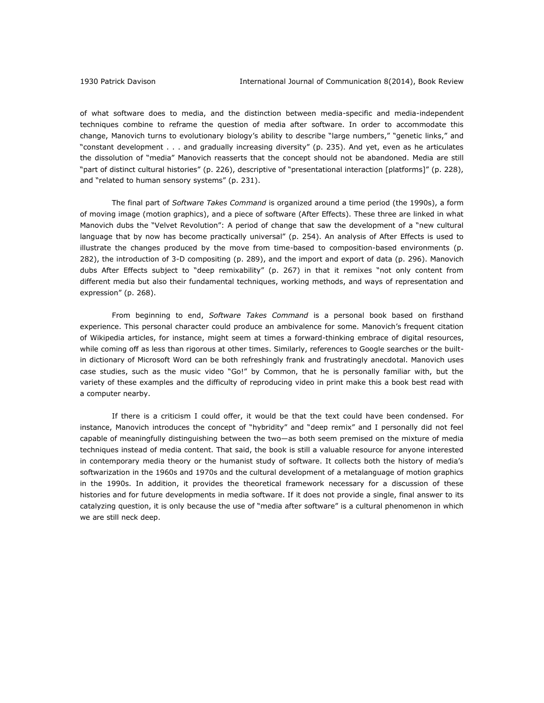of what software does to media, and the distinction between media-specific and media-independent techniques combine to reframe the question of media after software. In order to accommodate this change, Manovich turns to evolutionary biology's ability to describe "large numbers," "genetic links," and "constant development . . . and gradually increasing diversity" (p. 235). And yet, even as he articulates the dissolution of "media" Manovich reasserts that the concept should not be abandoned. Media are still "part of distinct cultural histories" (p. 226), descriptive of "presentational interaction [platforms]" (p. 228), and "related to human sensory systems" (p. 231).

The final part of *Software Takes Command* is organized around a time period (the 1990s), a form of moving image (motion graphics), and a piece of software (After Effects). These three are linked in what Manovich dubs the "Velvet Revolution": A period of change that saw the development of a "new cultural language that by now has become practically universal" (p. 254). An analysis of After Effects is used to illustrate the changes produced by the move from time-based to composition-based environments (p. 282), the introduction of 3-D compositing (p. 289), and the import and export of data (p. 296). Manovich dubs After Effects subject to "deep remixability" (p. 267) in that it remixes "not only content from different media but also their fundamental techniques, working methods, and ways of representation and expression" (p. 268).

From beginning to end, *Software Takes Command* is a personal book based on firsthand experience. This personal character could produce an ambivalence for some. Manovich's frequent citation of Wikipedia articles, for instance, might seem at times a forward-thinking embrace of digital resources, while coming off as less than rigorous at other times. Similarly, references to Google searches or the builtin dictionary of Microsoft Word can be both refreshingly frank and frustratingly anecdotal. Manovich uses case studies, such as the music video "Go!" by Common, that he is personally familiar with, but the variety of these examples and the difficulty of reproducing video in print make this a book best read with a computer nearby.

If there is a criticism I could offer, it would be that the text could have been condensed. For instance, Manovich introduces the concept of "hybridity" and "deep remix" and I personally did not feel capable of meaningfully distinguishing between the two—as both seem premised on the mixture of media techniques instead of media content. That said, the book is still a valuable resource for anyone interested in contemporary media theory or the humanist study of software. It collects both the history of media's softwarization in the 1960s and 1970s and the cultural development of a metalanguage of motion graphics in the 1990s. In addition, it provides the theoretical framework necessary for a discussion of these histories and for future developments in media software. If it does not provide a single, final answer to its catalyzing question, it is only because the use of "media after software" is a cultural phenomenon in which we are still neck deep.